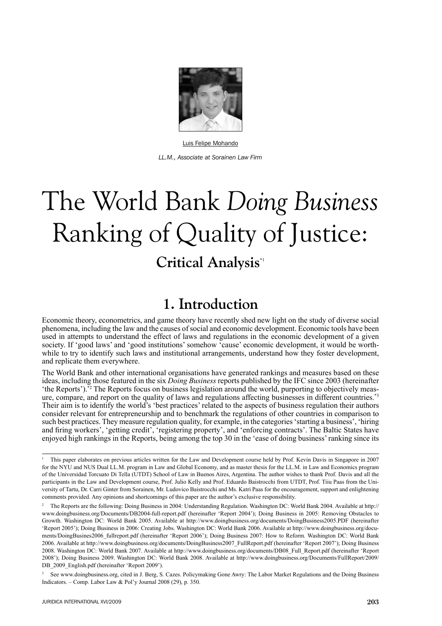

Luis Felipe Mohando *LL.M., Associate at Sorainen Law Firm*

# The World Bank *Doing Business* Ranking of Quality of Justice: **Critical Analysis**\*1

# **1. Introduction**

Economic theory, econometrics, and game theory have recently shed new light on the study of diverse social phenomena, including the law and the causes of social and economic development. Economic tools have been used in attempts to understand the effect of laws and regulations in the economic development of a given society. If 'good laws' and 'good institutions' somehow 'cause' economic development, it would be worthwhile to try to identify such laws and institutional arrangements, understand how they foster development, and replicate them everywhere.

The World Bank and other international organisations have generated rankings and measures based on these ideas, including those featured in the six *Doing Business* reports published by the IFC since 2003 (hereinafter 'the Reports').\*2 The Reports focus on business legislation around the world, purporting to objectively measure, compare, and report on the quality of laws and regulations affecting businesses in different countries.\*3 Their aim is to identify the world's 'best practices' related to the aspects of business regulation their authors consider relevant for entrepreneurship and to benchmark the regulations of other countries in comparison to such best practices. They measure regulation quality, for example, in the categories 'starting a business', 'hiring and firing workers', 'getting credit', 'registering property', and 'enforcing contracts'. The Baltic States have enjoyed high rankings in the Reports, being among the top 30 in the 'ease of doing business' ranking since its

3 See www.doingbusiness.org, cited in J. Berg, S. Cazes. Policymaking Gone Awry: The Labor Market Regulations and the Doing Business Indicators. – Comp. Labor Law & Pol'y Journal 2008 (29), p. 350.

<sup>1</sup> This paper elaborates on previous articles written for the Law and Development course held by Prof. Kevin Davis in Singapore in 2007 for the NYU and NUS Dual LL.M. program in Law and Global Economy, and as master thesis for the LL.M. in Law and Economics program of the Universidad Torcuato Di Tella (UTDT) School of Law in Buenos Aires, Argentina. The author wishes to thank Prof. Davis and all the participants in the Law and Development course, Prof. Julio Kelly and Prof. Eduardo Baistrocchi from UTDT, Prof. Tiiu Paas from the University of Tartu, Dr. Carri Ginter from Sorainen, Mr. Ludovico Baistrocchi and Ms. Katri Paas for the encouragement, support and enlightening comments provided. Any opinions and shortcomings of this paper are the author's exclusive responsibility.

<sup>2</sup> The Reports are the following: Doing Business in 2004: Understanding Regulation. Washington DC: World Bank 2004. Available at http:// www.doingbusiness.org/Documents/DB2004-full-report.pdf (hereinafter 'Report 2004'); Doing Business in 2005: Removing Obstacles to Growth. Washington DC: World Bank 2005. Available at http://www.doingbusiness.org/documents/DoingBusiness2005.PDF (hereinafter 'Report 2005'); Doing Business in 2006: Creating Jobs. Washington DC: World Bank 2006. Available at http://www.doingbusiness.org/documents/DoingBusines2006\_fullreport.pdf (hereinafter 'Report 2006'); Doing Business 2007: How to Reform. Washington DC: World Bank 2006. Available at http://www.doingbusiness.org/documents/DoingBusiness2007\_FullReport.pdf (hereinafter 'Report 2007'); Doing Business 2008. Washington DC: World Bank 2007. Available at http://www.doingbusiness.org/documents/DB08\_Full\_Report.pdf (hereinafter 'Report 2008'); Doing Business 2009. Washington DC: World Bank 2008. Available at http://www.doingbusiness.org/Documents/FullReport/2009/ DB 2009 English.pdf (hereinafter 'Report 2009').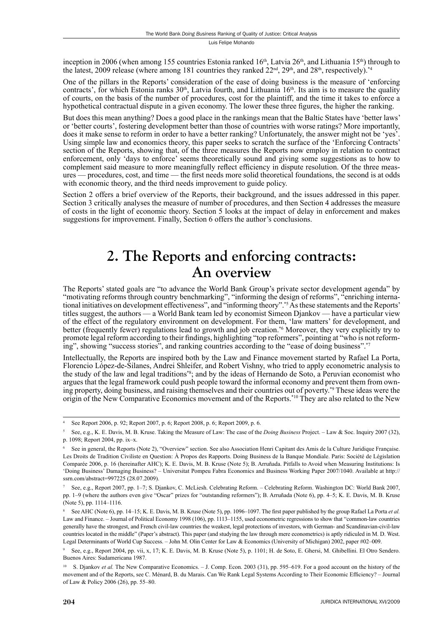inception in 2006 (when among 155 countries Estonia ranked 16<sup>th</sup>, Latvia 26<sup>th</sup>, and Lithuania 15<sup>th</sup>) through to the latest, 2009 release (where among 181 countries they ranked  $22<sup>nd</sup>$ ,  $29<sup>th</sup>$ , and  $28<sup>th</sup>$ , respectively).<sup>\*4</sup>

One of the pillars in the Reports' consideration of the ease of doing business is the measure of 'enforcing contracts', for which Estonia ranks  $30<sup>th</sup>$ , Latvia fourth, and Lithuania  $16<sup>th</sup>$ . Its aim is to measure the quality of courts, on the basis of the number of procedures, cost for the plaintiff, and the time it takes to enforce a hypothetical contractual dispute in a given economy. The lower these three figures, the higher the ranking.

But does this mean anything? Does a good place in the rankings mean that the Baltic States have 'better laws' or 'better courts', fostering development better than those of countries with worse ratings? More importantly, does it make sense to reform in order to have a better ranking? Unfortunately, the answer might not be 'yes'. Using simple law and economics theory, this paper seeks to scratch the surface of the 'Enforcing Contracts' section of the Reports, showing that, of the three measures the Reports now employ in relation to contract enforcement, only 'days to enforce' seems theoretically sound and giving some suggestions as to how to complement said measure to more meaningfully reflect efficiency in dispute resolution. Of the three measures — procedures, cost, and time — the first needs more solid theoretical foundations, the second is at odds with economic theory, and the third needs improvement to guide policy.

Section 2 offers a brief overview of the Reports, their background, and the issues addressed in this paper. Section 3 critically analyses the measure of number of procedures, and then Section 4 addresses the measure of costs in the light of economic theory. Section 5 looks at the impact of delay in enforcement and makes suggestions for improvement. Finally, Section 6 offers the author's conclusions.

# **2. The Reports and enforcing contracts: An overview**

The Reports' stated goals are "to advance the World Bank Group's private sector development agenda" by "motivating reforms through country benchmarking", "informing the design of reforms", "enriching international initiatives on development effectiveness", and "informing theory".\*5 As these statements and the Reports' titles suggest, the authors — a World Bank team led by economist Simeon Djankov — have a particular view of the effect of the regulatory environment on development. For them, 'law matters' for development, and better (frequently fewer) regulations lead to growth and job creation.<sup>\*6</sup> Moreover, they very explicitly try to promote legal reform according to their findings, highlighting "top reformers", pointing at "who is not reforming", showing "success stories", and ranking countries according to the "ease of doing business".\*7

Intellectually, the Reports are inspired both by the Law and Finance movement started by Rafael La Porta, Florencio López-de-Silanes, Andrei Shleifer, and Robert Vishny, who tried to apply econometric analysis to the study of the law and legal traditions\*8; and by the ideas of Hernando de Soto, a Peruvian economist who argues that the legal framework could push people toward the informal economy and prevent them from owning property, doing business, and raising themselves and their countries out of poverty.\*9 These ideas were the origin of the New Comparative Economics movement and of the Reports.\*10 They are also related to the New

<sup>4</sup> See Report 2006, p. 92; Report 2007, p. 6; Report 2008, p. 6; Report 2009, p. 6.

<sup>5</sup> See, e.g., K. E. Davis, M. B. Kruse. Taking the Measure of Law: The case of the *Doing Business* Project. – Law & Soc. Inquiry 2007 (32), p. 1098; Report 2004, pp. ix–x.

<sup>6</sup> See in general, the Reports (Note 2), "Overview" section. See also Association Henri Capitant des Amis de la Culture Juridique Française. Les Droits de Tradition Civiliste en Question: À Propos des Rapports. Doing Business de la Banque Mondiale. Paris: Société de Législation Comparée 2006, p. 16 (hereinafter AHC); K. E. Davis, M. B. Kruse (Note 5); B. Arruñada. Pitfalls to Avoid when Measuring Institutions: Is 'Doing Business' Damaging Business? – Universitat Pompeu Fabra Economics and Business Working Paper 2007/1040. Available at http:// ssrn.com/abstract=997225 (28.07.2009).

<sup>7</sup> See, e.g., Report 2007, pp. 1–7; S. Djankov, C. McLiesh. Celebrating Reform. – Celebrating Reform. Washington DC: World Bank 2007, pp. 1–9 (where the authors even give "Oscar" prizes for "outstanding reformers"); B. Arruñada (Note 6), pp. 4–5; K. E. Davis, M. B. Kruse (Note 5), pp. 1114–1116.

<sup>8</sup> See AHC (Note 6), pp. 14–15; K. E. Davis, M. B. Kruse (Note 5), pp. 1096–1097. The first paper published by the group Rafael La Porta *et al.* Law and Finance. – Journal of Political Economy 1998 (106), pp. 1113–1155, used econometric regressions to show that "common-law countries generally have the strongest, and French civil-law countries the weakest, legal protections of investors, with German- and Scandinavian-civil-law countries located in the middle" (Paper's abstract). This paper (and studying the law through mere econometrics) is aptly ridiculed in M. D. West. Legal Determinants of World Cup Success. – John M. Olin Center for Law & Economics (University of Michigan) 2002, paper #02–009.

<sup>9</sup> See, e.g., Report 2004, pp. vii, x, 17; K. E. Davis, M. B. Kruse (Note 5), p. 1101; H. de Soto, E. Ghersi, M. Ghibellini. El Otro Sendero. Buenos Aires: Sudamericana 1987.

<sup>&</sup>lt;sup>10</sup> S. Djankov *et al.* The New Comparative Economics. – J. Comp. Econ. 2003 (31), pp. 595–619. For a good account on the history of the movement and of the Reports, see C. Ménard, B. du Marais. Can We Rank Legal Systems According to Their Economic Efficiency? – Journal of Law & Policy 2006 (26), pp. 55–80.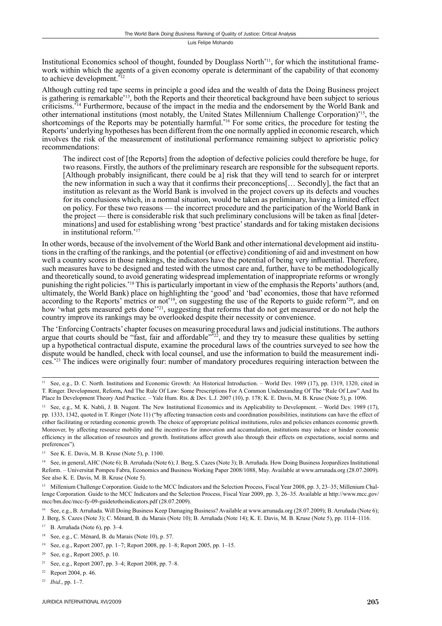Institutional Economics school of thought, founded by Douglass North<sup>\*11</sup>, for which the institutional framework within which the agents of a given economy operate is determinant of the capability of that economy to achieve development.\*<sup>12</sup>

Although cutting red tape seems in principle a good idea and the wealth of data the Doing Business project is gathering is remarkable\*13, both the Reports and their theoretical background have been subject to serious criticisms.\*14 Furthermore, because of the impact in the media and the endorsement by the World Bank and other international institutions (most notably, the United States Millennium Challenge Corporation)\*15, the shortcomings of the Reports may be potentially harmful.<sup>\*16</sup> For some critics, the procedure for testing the Reports' underlying hypotheses has been different from the one normally applied in economic research, which involves the risk of the measurement of institutional performance remaining subject to aprioristic policy recommendations:

The indirect cost of [the Reports] from the adoption of defective policies could therefore be huge, for two reasons. Firstly, the authors of the preliminary research are responsible for the subsequent reports. [Although probably insignificant, there could be a] risk that they will tend to search for or interpret the new information in such a way that it confirms their preconceptions[... Secondly], the fact that an institution as relevant as the World Bank is involved in the project covers up its defects and vouches for its conclusions which, in a normal situation, would be taken as preliminary, having a limited effect on policy. For these two reasons — the incorrect procedure and the participation of the World Bank in the project — there is considerable risk that such preliminary conclusions will be taken as final [determinations] and used for establishing wrong 'best practice' standards and for taking mistaken decisions in institutional reform $17$ 

In other words, because of the involvement of the World Bank and other international development aid institutions in the crafting of the rankings, and the potential (or effective) conditioning of aid and investment on how well a country scores in those rankings, the indicators have the potential of being very influential. Therefore, such measures have to be designed and tested with the utmost care and, further, have to be methodologically and theoretically sound, to avoid generating widespread implementation of inappropriate reforms or wrongly punishing the right policies.\*18 This is particularly important in view of the emphasis the Reports' authors (and, ultimately, the World Bank) place on highlighting the 'good' and 'bad' economies, those that have reformed according to the Reports' metrics or not<sup>\*19</sup>, on suggesting the use of the Reports to guide reform<sup>\*20</sup>, and on how 'what gets measured gets done'<sup>\*21</sup>, suggesting that reforms that do not get measured or do not help the country improve its rankings may be overlooked despite their necessity or convenience.

The 'Enforcing Contracts' chapter focuses on measuring procedural laws and judicial institutions. The authors argue that courts should be "fast, fair and affordable" $\frac{1}{2}$ , and they try to measure these qualities by setting up a hypothetical contractual dispute, examine the procedural laws of the countries surveyed to see how the dispute would be handled, check with local counsel, and use the information to build the measurement indices.\*23 The indices were originally four: number of mandatory procedures requiring interaction between the

<sup>&</sup>lt;sup>11</sup> See, e.g., D. C. North. Institutions and Economic Growth: An Historical Introduction. – World Dev. 1989 (17), pp. 1319, 1320, cited in T. Ringer. Development, Reform**,** And The Rule Of Law: Some Prescriptions For A Common Understanding Of The "Rule Of Law" And Its Place In Development Theory And Practice. – Yale Hum. Rts. & Dev. L.J. 2007 (10), p. 178; K. E. Davis, M. B. Kruse (Note 5), p. 1096.

<sup>12</sup> See, e.g., M. K. Nabli, J. B. Nugent. The New Institutional Economics and its Applicability to Development. – World Dev. 1989 (17), pp. 1333, 1342, quoted in T. Ringer (Note 11) ("by affecting transaction costs and coordination possibilities, institutions can have the effect of either facilitating or retarding economic growth. The choice of appropriate political institutions, rules and policies enhances economic growth. Moreover, by affecting resource mobility and the incentives for innovation and accumulation, institutions may induce or hinder economic efficiency in the allocation of resources and growth. Institutions affect growth also through their effects on expectations, social norms and preferences").

<sup>13</sup> See K. E. Davis, M. B. Kruse (Note 5), p. 1100.

<sup>&</sup>lt;sup>14</sup> See, in general, AHC (Note 6); B. Arruñada (Note 6); J. Berg, S. Cazes (Note 3); B. Arruñada. How Doing Business Jeopardizes Institutional Reform. – Universitat Pompeu Fabra, Economics and Business Working Paper 2008/1088, May. Available at www.arrunada.org (28.07.2009). See also K. E. Davis, M. B. Kruse (Note 5).

<sup>&</sup>lt;sup>15</sup> Millenium Challenge Corporation. Guide to the MCC Indicators and the Selection Process, Fiscal Year 2008, pp. 3, 23–35; Millenium Challenge Corporation. Guide to the MCC Indicators and the Selection Process, Fiscal Year 2009, pp. 3, 26–35. Available at http://www.mcc.gov/ mcc/bm.doc/mcc-fy-09-guidetotheindicators.pdf (28.07.2009).

<sup>&</sup>lt;sup>16</sup> See, e.g., B. Arruñada. Will Doing Business Keep Damaging Business? Available at www.arrunada.org (28.07.2009); B. Arruñada (Note 6); J. Berg, S. Cazes (Note 3); C. Ménard, B. du Marais (Note 10); B. Arruñada (Note 14); K. E. Davis, M. B. Kruse (Note 5), pp. 1114–1116.

<sup>17</sup> B. Arruñada (Note 6), pp. 3–4.

<sup>18</sup> See, e.g., C. Ménard, B. du Marais (Note 10), p. 57.

<sup>19</sup> See, e.g., Report 2007, pp. 1–7; Report 2008, pp. 1–8; Report 2005, pp. 1–15.

<sup>20</sup> See, e.g., Report 2005, p. 10.

<sup>21</sup> See, e.g., Report 2007, pp. 3–4; Report 2008, pp. 7–8.

<sup>22</sup> Report 2004, p. 46.

<sup>23</sup> *Ibid*., pp. 1–7.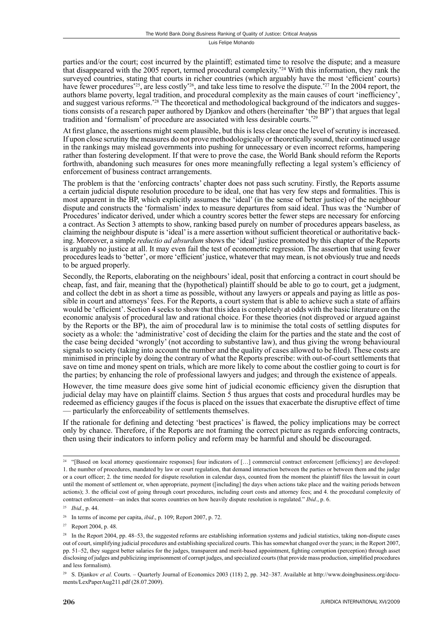parties and/or the court; cost incurred by the plaintiff; estimated time to resolve the dispute; and a measure that disappeared with the 2005 report, termed procedural complexity.\*24 With this information, they rank the surveyed countries, stating that courts in richer countries (which arguably have the most 'efficient' courts) have fewer procedures<sup>\*25</sup>, are less costly<sup>\*26</sup>, and take less time to resolve the dispute.<sup>\*27</sup> In the 2004 report, the authors blame poverty, legal tradition, and procedural complexity as the main causes of court 'inefficiency', and suggest various reforms.<sup>\*28</sup> The theoretical and methodological background of the indicators and suggestions consists of a research paper authored by Djankov and others (hereinafter 'the BP') that argues that legal tradition and 'formalism' of procedure are associated with less desirable courts.\*29

At first glance, the assertions might seem plausible, but this is less clear once the level of scrutiny is increased. If upon close scrutiny the measures do not prove methodologically or theoretically sound, their continued usage in the rankings may mislead governments into pushing for unnecessary or even incorrect reforms, hampering rather than fostering development. If that were to prove the case, the World Bank should reform the Reports forthwith, abandoning such measures for ones more meaningfully reflecting a legal system's efficiency of enforcement of business contract arrangements.

The problem is that the 'enforcing contracts' chapter does not pass such scrutiny. Firstly, the Reports assume a certain judicial dispute resolution procedure to be ideal, one that has very few steps and formalities. This is most apparent in the BP, which explicitly assumes the 'ideal' (in the sense of better justice) of the neighbour dispute and constructs the 'formalism' index to measure departures from said ideal. Thus was the 'Number of Procedures' indicator derived, under which a country scores better the fewer steps are necessary for enforcing a contract. As Section 3 attempts to show, ranking based purely on number of procedures appears baseless, as claiming the neighbour dispute is 'ideal' is a mere assertion without sufficient theoretical or authoritative backing. Moreover, a simple *reductio ad absurdum* shows the 'ideal' justice promoted by this chapter of the Reports is arguably no justice at all. It may even fail the test of econometric regression. The assertion that using fewer procedures leads to 'better', or more 'efficient' justice, whatever that may mean, is not obviously true and needs to be argued properly.

Secondly, the Reports, elaborating on the neighbours' ideal, posit that enforcing a contract in court should be cheap, fast, and fair, meaning that the (hypothetical) plaintiff should be able to go to court, get a judgment, and collect the debt in as short a time as possible, without any lawyers or appeals and paying as little as possible in court and attorneys' fees. For the Reports, a court system that is able to achieve such a state of affairs would be 'efficient'. Section 4 seeks to show that this idea is completely at odds with the basic literature on the economic analysis of procedural law and rational choice. For these theories (not disproved or argued against by the Reports or the BP), the aim of procedural law is to minimise the total costs of settling disputes for society as a whole: the 'administrative' cost of deciding the claim for the parties and the state and the cost of the case being decided 'wrongly' (not according to substantive law), and thus giving the wrong behavioural signals to society (taking into account the number and the quality of cases allowed to be filed). These costs are minimised in principle by doing the contrary of what the Reports prescribe: with out-of-court settlements that save on time and money spent on trials, which are more likely to come about the costlier going to court is for the parties; by enhancing the role of professional lawyers and judges; and through the existence of appeals.

However, the time measure does give some hint of judicial economic efficiency given the disruption that judicial delay may have on plaintiff claims. Section  $\bar{5}$  thus argues that costs and procedural hurdles may be redeemed as efficiency gauges if the focus is placed on the issues that exacerbate the disruptive effect of time — particularly the enforceability of settlements themselves.

If the rationale for defining and detecting 'best practices' is flawed, the policy implications may be correct only by chance. Therefore, if the Reports are not framing the correct picture as regards enforcing contracts, then using their indicators to inform policy and reform may be harmful and should be discouraged.

<sup>&</sup>lt;sup>24</sup> "[Based on local attorney questionnaire responses] four indicators of [...] commercial contract enforcement [efficiency] are developed: 1. the number of procedures, mandated by law or court regulation, that demand interaction between the parties or between them and the judge or a court officer; 2. the time needed for dispute resolution in calendar days, counted from the moment the plaintiff files the lawsuit in court until the moment of settlement or, when appropriate, payment ([including] the days when actions take place and the waiting periods between actions); 3. the official cost of going through court procedures, including court costs and attorney fees; and 4. the procedural complexity of contract enforcement—an index that scores countries on how heavily dispute resolution is regulated." *Ibid*., p. 6.

<sup>25</sup> *Ibid*., p. 44.

<sup>26</sup> In terms of income per capita, *ibid*., p. 109; Report 2007, p. 72.

<sup>27</sup> Report 2004, p. 48.

<sup>&</sup>lt;sup>28</sup> In the Report 2004, pp. 48–53, the suggested reforms are establishing information systems and judicial statistics, taking non-dispute cases out of court, simplifying judicial procedures and establishing specialized courts. This has somewhat changed over the years; in the Report 2007, pp. 51–52, they suggest better salaries for the judges, transparent and merit-based appointment, fighting corruption (perception) through asset disclosing of judges and publicizing imprisonment of corrupt judges, and specialized courts (that provide mass production, simplified procedures and less formalism).

<sup>&</sup>lt;sup>29</sup> S. Djankov *et al.* Courts. – Quarterly Journal of Economics 2003 (118) 2, pp. 342–387. Available at http://www.doingbusiness.org/documents/LexPaperAug211.pdf (28.07.2009).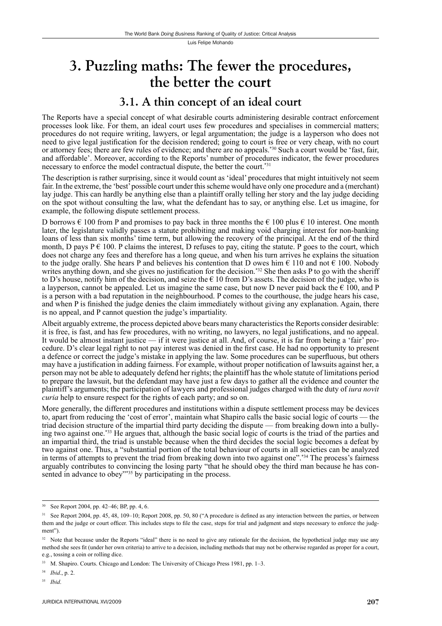# **3. Puzzling maths: The fewer the procedures, the better the court**

#### **3.1. A thin concept of an ideal court**

The Reports have a special concept of what desirable courts administering desirable contract enforcement processes look like. For them, an ideal court uses few procedures and specialises in commercial matters; procedures do not require writing, lawyers, or legal argumentation; the judge is a layperson who does not need to give legal justification for the decision rendered; going to court is free or very cheap, with no court or attorney fees; there are few rules of evidence; and there are no appeals.\*30 Such a court would be 'fast, fair, and affordable'. Moreover, according to the Reports' number of procedures indicator, the fewer procedures necessary to enforce the model contractual dispute, the better the court.\*31

The description is rather surprising, since it would count as 'ideal' procedures that might intuitively not seem fair. In the extreme, the 'best' possible court under this scheme would have only one procedure and a (merchant) lay judge. This can hardly be anything else than a plaintiff orally telling her story and the lay judge deciding on the spot without consulting the law, what the defendant has to say, or anything else. Let us imagine, for example, the following dispute settlement process.

D borrows  $\epsilon$  100 from P and promises to pay back in three months the  $\epsilon$  100 plus  $\epsilon$  10 interest. One month later, the legislature validly passes a statute prohibiting and making void charging interest for non-banking loans of less than six months' time term, but allowing the recovery of the principal. At the end of the third month, D pays  $P \in 100$ . P claims the interest, D refuses to pay, citing the statute. P goes to the court, which does not charge any fees and therefore has a long queue, and when his turn arrives he explains the situation to the judge orally. She hears P and believes his contention that D owes him  $\epsilon$  110 and not  $\epsilon$  100. Nobody writes anything down, and she gives no justification for the decision.<sup>\*32</sup> She then asks P to go with the sheriff to D's house, notify him of the decision, and seize the  $\epsilon$  10 from D's assets. The decision of the judge, who is a layperson, cannot be appealed. Let us imagine the same case, but now D never paid back the  $\epsilon$  100, and P is a person with a bad reputation in the neighbourhood. P comes to the courthouse, the judge hears his case, and when P is finished the judge denies the claim immediately without giving any explanation. Again, there is no appeal, and P cannot question the judge's impartiality.

Albeit arguably extreme, the process depicted above bears many characteristics the Reports consider desirable: it is free, is fast, and has few procedures, with no writing, no lawyers, no legal justifications, and no appeal. It would be almost instant justice — if it were justice at all. And, of course, it is far from being a 'fair' procedure. D's clear legal right to not pay interest was denied in the first case. He had no opportunity to present a defence or correct the judge's mistake in applying the law. Some procedures can be superfluous, but others may have a justification in adding fairness. For example, without proper notification of lawsuits against her, a person may not be able to adequately defend her rights; the plaintiff has the whole statute of limitations period to prepare the lawsuit, but the defendant may have just a few days to gather all the evidence and counter the plaintiff's arguments; the participation of lawyers and professional judges charged with the duty of *iura novit curia* help to ensure respect for the rights of each party; and so on.

More generally, the different procedures and institutions within a dispute settlement process may be devices to, apart from reducing the 'cost of error', maintain what Shapiro calls the basic social logic of courts — the triad decision structure of the impartial third party deciding the dispute — from breaking down into a bullying two against one.\*33 He argues that, although the basic social logic of courts is the triad of the parties and an impartial third, the triad is unstable because when the third decides the social logic becomes a defeat by two against one. Thus, a "substantial portion of the total behaviour of courts in all societies can be analyzed in terms of attempts to prevent the triad from breaking down into two against one".<sup>\*34</sup> The process's fairness arguably contributes to convincing the losing party "that he should obey the third man because he has consented in advance to obey<sup>7\*35</sup> by participating in the process.

<sup>30</sup> See Report 2004, pp. 42–46; BP, pp. 4, 6.

<sup>&</sup>lt;sup>31</sup> See Report 2004, pp. 45, 48, 109–10; Report 2008, pp. 50, 80 ("A procedure is defined as any interaction between the parties, or between them and the judge or court officer. This includes steps to file the case, steps for trial and judgment and steps necessary to enforce the judgment").

<sup>&</sup>lt;sup>32</sup> Note that because under the Reports "ideal" there is no need to give any rationale for the decision, the hypothetical judge may use any method she sees fi t (under her own criteria) to arrive to a decision, including methods that may not be otherwise regarded as proper for a court, e.g., tossing a coin or rolling dice.

<sup>33</sup> M. Shapiro. Courts. Chicago and London: The University of Chicago Press 1981, pp. 1–3.

<sup>34</sup> *Ibid*., p. 2.

<sup>35</sup> *Ibid*.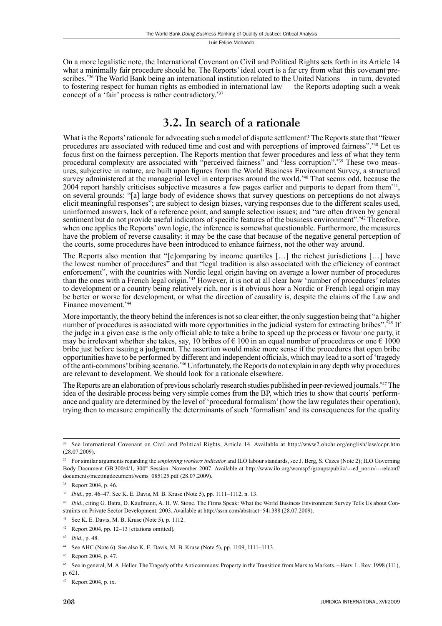On a more legalistic note, the International Covenant on Civil and Political Rights sets forth in its Article 14 what a minimally fair procedure should be. The Reports' ideal court is a far cry from what this covenant prescribes.\*36 The World Bank being an international institution related to the United Nations — in turn, devoted to fostering respect for human rights as embodied in international law — the Reports adopting such a weak concept of a 'fair' process is rather contradictory.\*37

#### **3.2. In search of a rationale**

What is the Reports' rationale for advocating such a model of dispute settlement? The Reports state that "fewer procedures are associated with reduced time and cost and with perceptions of improved fairness".\*38 Let us focus first on the fairness perception. The Reports mention that fewer procedures and less of what they term procedural complexity are associated with "perceived fairness" and "less corruption".\*39 These two measures, subjective in nature, are built upon figures from the World Business Environment Survey, a structured survey administered at the managerial level in enterprises around the world.<sup>\*40</sup> That seems odd, because the 2004 report harshly criticises subjective measures a few pages earlier and purports to depart from them\*41, on several grounds: "[a] large body of evidence shows that survey questions on perceptions do not always elicit meaningful responses"; are subject to design biases, varying responses due to the different scales used, uninformed answers, lack of a reference point, and sample selection issues; and "are often driven by general sentiment but do not provide useful indicators of specific features of the business environment".\*42 Therefore, when one applies the Reports' own logic, the inference is somewhat questionable. Furthermore, the measures have the problem of reverse causality: it may be the case that because of the negative general perception of the courts, some procedures have been introduced to enhance fairness, not the other way around.

The Reports also mention that "[c]omparing by income quartiles […] the richest jurisdictions […] have the lowest number of procedures" and that "legal tradition is also associated with the efficiency of contract enforcement", with the countries with Nordic legal origin having on average a lower number of procedures than the ones with a French legal origin.\*43 However, it is not at all clear how 'number of procedures' relates to development or a country being relatively rich, nor is it obvious how a Nordic or French legal origin may be better or worse for development, or what the direction of causality is, despite the claims of the Law and Finance movement.\*44

More importantly, the theory behind the inferences is not so clear either, the only suggestion being that "a higher number of procedures is associated with more opportunities in the judicial system for extracting bribes".<sup>\*45</sup> If the judge in a given case is the only official able to take a bribe to speed up the process or favour one party, it may be irrelevant whether she takes, say, 10 bribes of  $\epsilon$  100 in an equal number of procedures or one  $\epsilon$  1000 bribe just before issuing a judgment. The assertion would make more sense if the procedures that open bribe opportunities have to be performed by different and independent officials, which may lead to a sort of 'tragedy of the anti-commons' bribing scenario.\*46 Unfortunately, the Reports do not explain in any depth why procedures are relevant to development. We should look for a rationale elsewhere.

The Reports are an elaboration of previous scholarly research studies published in peer-reviewed journals.\*47 The idea of the desirable process being very simple comes from the BP, which tries to show that courts' performance and quality are determined by the level of 'procedural formalism' (how the law regulates their operation), trying then to measure empirically the determinants of such 'formalism' and its consequences for the quality

<sup>36</sup> See International Covenant on Civil and Political Rights, Article 14. Available at http://www2.ohchr.org/english/law/ccpr.htm (28.07.2009).

<sup>&</sup>lt;sup>37</sup> For similar arguments regarding the *employing workers indicator* and ILO labour standards, see J. Berg, S. Cazes (Note 2); ILO Governing Body Document GB.300/4/1, 300<sup>th</sup> Session. November 2007. Available at http://www.ilo.org/wcmsp5/groups/public/---ed\_norm/---relconf/ documents/meetingdocument/wcms\_085125.pdf (28.07.2009).

<sup>38</sup> Report 2004, p. 46.

<sup>39</sup> *Ibid*., pp. 46–47. See K. E. Davis, M. B. Kruse (Note 5), pp. 1111–1112, n. 13.

<sup>&</sup>lt;sup>40</sup> *Ibid.*, citing G. Batra, D. Kaufmann, A. H. W. Stone. The Firms Speak: What the World Business Environment Survey Tells Us about Constraints on Private Sector Development. 2003. Available at http://ssrn.com/abstract=541388 (28.07.2009).

<sup>41</sup> See K. E. Davis, M. B. Kruse (Note 5), p. 1112.

<sup>42</sup> Report 2004, pp. 12–13 [citations omitted].

<sup>43</sup> *Ibid*., p. 48.

<sup>44</sup> See AHC (Note 6). See also K. E. Davis, M. B. Kruse (Note 5), pp. 1109, 1111–1113.

<sup>45</sup> Report 2004, p. 47.

<sup>46</sup> See in general, M. A. Heller. The Tragedy of the Anticommons: Property in the Transition from Marx to Markets. – Harv. L. Rev. 1998 (111), p. 621.

<sup>47</sup> Report 2004, p. ix.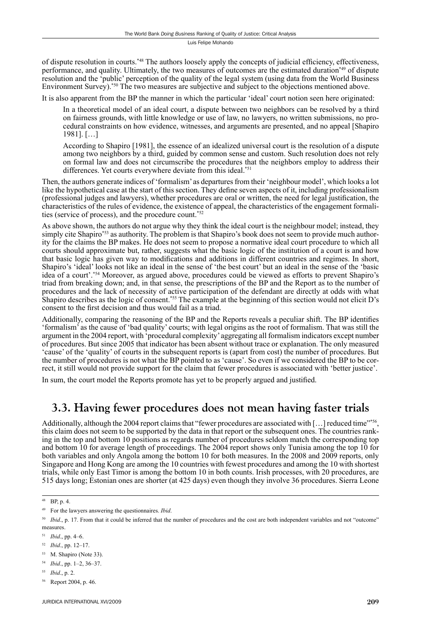of dispute resolution in courts.\*48 The authors loosely apply the concepts of judicial efficiency, effectiveness, performance, and quality. Ultimately, the two measures of outcomes are the estimated duration\*49 of dispute resolution and the 'public' perception of the quality of the legal system (using data from the World Business Environment Survey).\*50 The two measures are subjective and subject to the objections mentioned above.

It is also apparent from the BP the manner in which the particular 'ideal' court notion seen here originated:

In a theoretical model of an ideal court, a dispute between two neighbors can be resolved by a third on fairness grounds, with little knowledge or use of law, no lawyers, no written submissions, no procedural constraints on how evidence, witnesses, and arguments are presented, and no appeal [Shapiro 1981]. […]

According to Shapiro [1981], the essence of an idealized universal court is the resolution of a dispute among two neighbors by a third, guided by common sense and custom. Such resolution does not rely on formal law and does not circumscribe the procedures that the neighbors employ to address their differences. Yet courts everywhere deviate from this ideal.\*51

Then, the authors generate indices of 'formalism' as departures from their 'neighbour model', which looks a lot like the hypothetical case at the start of this section. They define seven aspects of it, including professionalism (professional judges and lawyers), whether procedures are oral or written, the need for legal justification, the characteristics of the rules of evidence, the existence of appeal, the characteristics of the engagement formalities (service of process), and the procedure count.\*52

As above shown, the authors do not argue why they think the ideal court is the neighbour model; instead, they simply cite Shapiro\*53 as authority. The problem is that Shapiro's book does not seem to provide much authority for the claims the BP makes. He does not seem to propose a normative ideal court procedure to which all courts should approximate but, rather, suggests what the basic logic of the institution of a court is and how that basic logic has given way to modifications and additions in different countries and regimes. In short, Shapiro's 'ideal' looks not like an ideal in the sense of 'the best court' but an ideal in the sense of the 'basic idea of a court'.\*54 Moreover, as argued above, procedures could be viewed as efforts to prevent Shapiro's triad from breaking down; and, in that sense, the prescriptions of the BP and the Report as to the number of procedures and the lack of necessity of active participation of the defendant are directly at odds with what Shapiro describes as the logic of consent.\*55 The example at the beginning of this section would not elicit D's consent to the first decision and thus would fail as a triad.

Additionally, comparing the reasoning of the BP and the Reports reveals a peculiar shift. The BP identifies 'formalism' as the cause of 'bad quality' courts; with legal origins as the root of formalism. That was still the argument in the 2004 report, with 'procedural complexity' aggregating all formalism indicators except number of procedures. But since 2005 that indicator has been absent without trace or explanation. The only measured 'cause' of the 'quality' of courts in the subsequent reports is (apart from cost) the number of procedures. But the number of procedures is not what the BP pointed to as 'cause'. So even if we considered the BP to be correct, it still would not provide support for the claim that fewer procedures is associated with 'better justice'.

In sum, the court model the Reports promote has yet to be properly argued and justified.

### **3.3. Having fewer procedures does not mean having faster trials**

Additionally, although the 2004 report claims that "fewer procedures are associated with [...] reduced time"\*56, this claim does not seem to be supported by the data in that report or the subsequent ones. The countries ranking in the top and bottom 10 positions as regards number of procedures seldom match the corresponding top and bottom 10 for average length of proceedings. The 2004 report shows only Tunisia among the top 10 for both variables and only Angola among the bottom 10 for both measures. In the 2008 and 2009 reports, only Singapore and Hong Kong are among the 10 countries with fewest procedures and among the 10 with shortest trials, while only East Timor is among the bottom 10 in both counts. Irish processes, with 20 procedures, are 515 days long; Estonian ones are shorter (at 425 days) even though they involve 36 procedures. Sierra Leone

53 M. Shapiro (Note 33).

<sup>55</sup> *Ibid*., p. 2.

<sup>48</sup> BP, p. 4.

<sup>49</sup> For the lawyers answering the questionnaires. *Ibid*.

<sup>&</sup>lt;sup>50</sup> *Ibid.*, p. 17. From that it could be inferred that the number of procedures and the cost are both independent variables and not "outcome" measures.

<sup>51</sup> *Ibid*., pp. 4–6.

<sup>52</sup> *Ibid*., pp. 12–17.

<sup>54</sup> *Ibid*., pp. 1–2, 36–37.

Report 2004, p. 46.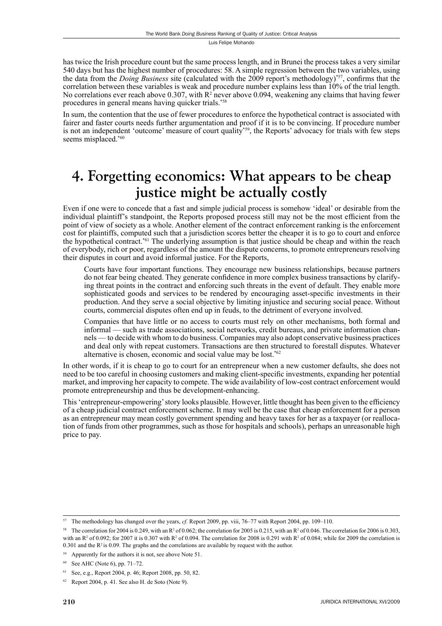has twice the Irish procedure count but the same process length, and in Brunei the process takes a very similar 540 days but has the highest number of procedures: 58. A simple regression between the two variables, using the data from the *Doing Business* site (calculated with the 2009 report's methodology)<sup>\*57</sup>, confirms that the correlation between these variables is weak and procedure number explains less than 10% of the trial length. No correlations ever reach above  $0.307$ , with  $R<sup>2</sup>$  never above  $0.094$ , weakening any claims that having fewer procedures in general means having quicker trials.\*58

In sum, the contention that the use of fewer procedures to enforce the hypothetical contract is associated with fairer and faster courts needs further argumentation and proof if it is to be convincing. If procedure number is not an independent 'outcome' measure of court quality\*59, the Reports' advocacy for trials with few steps seems misplaced.\*60

# **4. Forgetting economics: What appears to be cheap justice might be actually costly**

Even if one were to concede that a fast and simple judicial process is somehow 'ideal' or desirable from the individual plaintiff's standpoint, the Reports proposed process still may not be the most efficient from the point of view of society as a whole. Another element of the contract enforcement ranking is the enforcement cost for plaintiffs, computed such that a jurisdiction scores better the cheaper it is to go to court and enforce the hypothetical contract.<sup>\*61</sup> The underlying assumption is that justice should be cheap and within the reach of everybody, rich or poor, regardless of the amount the dispute concerns, to promote entrepreneurs resolving their disputes in court and avoid informal justice. For the Reports,

Courts have four important functions. They encourage new business relationships, because partners do not fear being cheated. They generate confidence in more complex business transactions by clarifying threat points in the contract and enforcing such threats in the event of default. They enable more sophisticated goods and services to be rendered by encouraging asset-specific investments in their production. And they serve a social objective by limiting injustice and securing social peace. Without courts, commercial disputes often end up in feuds, to the detriment of everyone involved.

Companies that have little or no access to courts must rely on other mechanisms, both formal and informal — such as trade associations, social networks, credit bureaus, and private information channels — to decide with whom to do business. Companies may also adopt conservative business practices and deal only with repeat customers. Transactions are then structured to forestall disputes. Whatever alternative is chosen, economic and social value may be lost.\*62

In other words, if it is cheap to go to court for an entrepreneur when a new customer defaults, she does not need to be too careful in choosing customers and making client-specific investments, expanding her potential market, and improving her capacity to compete. The wide availability of low-cost contract enforcement would promote entrepreneurship and thus be development-enhancing.

This 'entrepreneur-empowering' story looks plausible. However, little thought has been given to the efficiency of a cheap judicial contract enforcement scheme. It may well be the case that cheap enforcement for a person as an entrepreneur may mean costly government spending and heavy taxes for her as a taxpayer (or reallocation of funds from other programmes, such as those for hospitals and schools), perhaps an unreasonable high price to pay.

<sup>57</sup> The methodology has changed over the years, *cf.* Report 2009, pp. viii, 76–77 with Report 2004, pp. 109–110.

<sup>&</sup>lt;sup>58</sup> The correlation for 2004 is 0.249, with an R<sup>2</sup> of 0.062; the correlation for 2005 is 0.215, with an R<sup>2</sup> of 0.046. The correlation for 2006 is 0.303, with an R<sup>2</sup> of 0.092; for 2007 it is 0.307 with R<sup>2</sup> of 0.094. The correlation for 2008 is 0.291 with R<sup>2</sup> of 0.084; while for 2009 the correlation is 0.301 and the  $R^2$  is 0.09. The graphs and the correlations are available by request with the author.

<sup>59</sup> Apparently for the authors it is not, see above Note 51.

See AHC (Note 6), pp. 71–72.

<sup>61</sup> See, e.g., Report 2004, p. 46; Report 2008, pp. 50, 82.

 $62$  Report 2004, p. 41. See also H. de Soto (Note 9).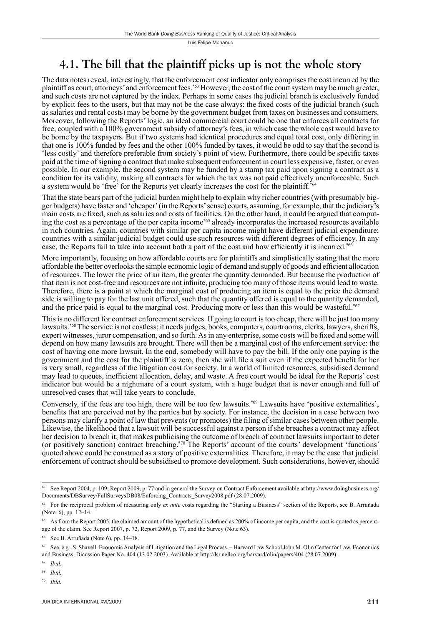### **4.1. The bill that the plaintiff picks up is not the whole story**

The data notes reveal, interestingly, that the enforcement cost indicator only comprises the cost incurred by the plaintiff as court, attorneys' and enforcement fees.\*63 However, the cost of the court system may be much greater, and such costs are not captured by the index. Perhaps in some cases the judicial branch is exclusively funded by explicit fees to the users, but that may not be the case always: the fixed costs of the judicial branch (such as salaries and rental costs) may be borne by the government budget from taxes on businesses and consumers. Moreover, following the Reports' logic, an ideal commercial court could be one that enforces all contracts for free, coupled with a 100% government subsidy of attorney's fees, in which case the whole cost would have to be borne by the taxpayers. But if two systems had identical procedures and equal total cost, only differing in that one is 100% funded by fees and the other 100% funded by taxes, it would be odd to say that the second is 'less costly' and therefore preferable from society's point of view. Furthermore, there could be specifi c taxes paid at the time of signing a contract that make subsequent enforcement in court less expensive, faster, or even possible. In our example, the second system may be funded by a stamp tax paid upon signing a contract as a condition for its validity, making all contracts for which the tax was not paid effectively unenforceable. Such a system would be 'free' for the Reports yet clearly increases the cost for the plaintiff.<sup>\*64</sup>

That the state bears part of the judicial burden might help to explain why richer countries (with presumably bigger budgets) have faster and 'cheaper' (in the Reports' sense) courts, assuming, for example, that the judiciary's main costs are fixed, such as salaries and costs of facilities. On the other hand, it could be argued that computing the cost as a percentage of the per capita income\*65 already incorporates the increased resources available in rich countries. Again, countries with similar per capita income might have different judicial expenditure; countries with a similar judicial budget could use such resources with different degrees of efficiency. In any case, the Reports fail to take into account both a part of the cost and how efficiently it is incurred.<sup>\*66</sup>

More importantly, focusing on how affordable courts are for plaintiffs and simplistically stating that the more affordable the better overlooks the simple economic logic of demand and supply of goods and efficient allocation of resources. The lower the price of an item, the greater the quantity demanded. But because the production of that item is not cost-free and resources are not infinite, producing too many of those items would lead to waste. Therefore, there is a point at which the marginal cost of producing an item is equal to the price the demand side is willing to pay for the last unit offered, such that the quantity offered is equal to the quantity demanded, and the price paid is equal to the marginal cost. Producing more or less than this would be wasteful.<sup>\*67</sup>

This is no different for contract enforcement services. If going to court is too cheap, there will be just too many lawsuits.\*68 The service is not costless; it needs judges, books, computers, courtrooms, clerks, lawyers, sheriffs, expert witnesses, juror compensation, and so forth. As in any enterprise, some costs will be fixed and some will depend on how many lawsuits are brought. There will then be a marginal cost of the enforcement service: the cost of having one more lawsuit. In the end, somebody will have to pay the bill. If the only one paying is the government and the cost for the plaintiff is zero, then she will file a suit even if the expected benefit for her is very small, regardless of the litigation cost for society. In a world of limited resources, subsidised demand may lead to queues, inefficient allocation, delay, and waste. A free court would be ideal for the Reports' cost indicator but would be a nightmare of a court system, with a huge budget that is never enough and full of unresolved cases that will take years to conclude.

Conversely, if the fees are too high, there will be too few lawsuits.\*69 Lawsuits have 'positive externalities', benefits that are perceived not by the parties but by society. For instance, the decision in a case between two persons may clarify a point of law that prevents (or promotes) the fi ling of similar cases between other people. Likewise, the likelihood that a lawsuit will be successful against a person if she breaches a contract may affect her decision to breach it; that makes publicising the outcome of breach of contract lawsuits important to deter (or positively sanction) contract breaching.\*70 The Reports' account of the courts' development 'functions' quoted above could be construed as a story of positive externalities. Therefore, it may be the case that judicial enforcement of contract should be subsidised to promote development. Such considerations, however, should

See Report 2004, p. 109; Report 2009, p. 77 and in general the Survey on Contract Enforcement available at http://www.doingbusiness.org/ Documents/DBSurvey/FullSurveysDB08/Enforcing\_Contracts\_Survey2008.pdf (28.07.2009).

<sup>64</sup> For the reciprocal problem of measuring only *ex ante* costs regarding the "Starting a Business" section of the Reports, see B. Arruñada (Note 6), pp. 12–14.

<sup>&</sup>lt;sup>65</sup> As from the Report 2005, the claimed amount of the hypothetical is defined as 200% of income per capita, and the cost is quoted as percentage of the claim. See Report 2007, p. 72, Report 2009, p. 77, and the Survey (Note 63).

<sup>66</sup> See B. Arruñada (Note 6), pp. 14–18.

<sup>67</sup> See, e.g., S. Shavell. Economic Analysis of Litigation and the Legal Process. – Harvard Law School John M. Olin Center for Law, Economics and Business, Dicussion Paper No. 404 (13.02.2003). Available at http://lsr.nellco.org/harvard/olin/papers/404 (28.07.2009).

<sup>68</sup> *Ibid*.

<sup>69</sup> *Ibid*.

<sup>70</sup> *Ibid*.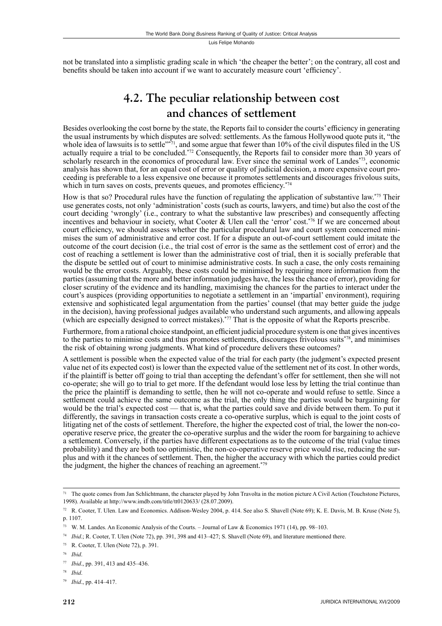not be translated into a simplistic grading scale in which 'the cheaper the better'; on the contrary, all cost and benefits should be taken into account if we want to accurately measure court 'efficiency'.

### **4.2. The peculiar relationship between cost and chances of settlement**

Besides overlooking the cost borne by the state, the Reports fail to consider the courts' efficiency in generating the usual instruments by which disputes are solved: settlements. As the famous Hollywood quote puts it, "the whole idea of lawsuits is to settle<sup>"\*71</sup>, and some argue that fewer than 10% of the civil disputes filed in the US actually require a trial to be concluded.\*72 Consequently, the Reports fail to consider more than 30 years of scholarly research in the economics of procedural law. Ever since the seminal work of Landes\*73, economic analysis has shown that, for an equal cost of error or quality of judicial decision, a more expensive court proceeding is preferable to a less expensive one because it promotes settlements and discourages frivolous suits, which in turn saves on costs, prevents queues, and promotes efficiency. $*74$ 

How is that so? Procedural rules have the function of regulating the application of substantive law.\*75 Their use generates costs, not only 'administration' costs (such as courts, lawyers, and time) but also the cost of the court deciding 'wrongly' (i.e., contrary to what the substantive law prescribes) and consequently affecting incentives and behaviour in society, what Cooter & Ulen call the 'error' cost.\*76 If we are concerned about court efficiency, we should assess whether the particular procedural law and court system concerned minimises the sum of administrative and error cost. If for a dispute an out-of-court settlement could imitate the outcome of the court decision (i.e., the trial cost of error is the same as the settlement cost of error) and the cost of reaching a settlement is lower than the administrative cost of trial, then it is socially preferable that the dispute be settled out of court to minimise administrative costs. In such a case, the only costs remaining would be the error costs. Arguably, these costs could be minimised by requiring more information from the parties (assuming that the more and better information judges have, the less the chance of error), providing for closer scrutiny of the evidence and its handling, maximising the chances for the parties to interact under the court's auspices (providing opportunities to negotiate a settlement in an 'impartial' environment), requiring extensive and sophisticated legal argumentation from the parties' counsel (that may better guide the judge in the decision), having professional judges available who understand such arguments, and allowing appeals (which are especially designed to correct mistakes).\*77 That is the opposite of what the Reports prescribe.

Furthermore, from a rational choice standpoint, an efficient judicial procedure system is one that gives incentives to the parties to minimise costs and thus promotes settlements, discourages frivolous suits\*78, and minimises the risk of obtaining wrong judgments. What kind of procedure delivers these outcomes?

A settlement is possible when the expected value of the trial for each party (the judgment's expected present value net of its expected cost) is lower than the expected value of the settlement net of its cost. In other words, if the plaintiff is better off going to trial than accepting the defendant's offer for settlement, then she will not co-operate; she will go to trial to get more. If the defendant would lose less by letting the trial continue than the price the plaintiff is demanding to settle, then he will not co-operate and would refuse to settle. Since a settlement could achieve the same outcome as the trial, the only thing the parties would be bargaining for would be the trial's expected cost — that is, what the parties could save and divide between them. To put it differently, the savings in transaction costs create a co-operative surplus, which is equal to the joint costs of litigating net of the costs of settlement. Therefore, the higher the expected cost of trial, the lower the non-cooperative reserve price, the greater the co-operative surplus and the wider the room for bargaining to achieve a settlement. Conversely, if the parties have different expectations as to the outcome of the trial (value times probability) and they are both too optimistic, the non-co-operative reserve price would rise, reducing the surplus and with it the chances of settlement. Then, the higher the accuracy with which the parties could predict the judgment, the higher the chances of reaching an agreement.\*79

 $71$  The quote comes from Jan Schlichtmann, the character played by John Travolta in the motion picture A Civil Action (Touchstone Pictures, 1998). Available at http://www.imdb.com/title/tt0120633/ (28.07.2009).

<sup>&</sup>lt;sup>72</sup> R. Cooter, T. Ulen. Law and Economics. Addison-Wesley 2004, p. 414. See also S. Shavell (Note 69); K. E. Davis, M. B. Kruse (Note 5), p. 1107.

<sup>73</sup> W. M. Landes. An Economic Analysis of the Courts. – Journal of Law & Economics 1971 (14), pp. 98–103.

<sup>74</sup> *Ibid*.; R. Cooter, T. Ulen (Note 72), pp. 391, 398 and 413–427; S. Shavell (Note 69), and literature mentioned there.

<sup>75</sup> R. Cooter, T. Ulen (Note 72), p. 391.

<sup>76</sup> *Ibid*.

<sup>77</sup> *Ibid*., pp. 391, 413 and 435–436.

<sup>78</sup> *Ibid*.

<sup>79</sup> *Ibid*., pp. 414–417.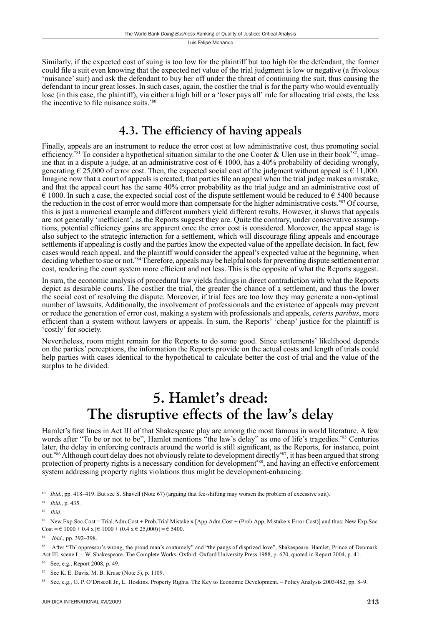Similarly, if the expected cost of suing is too low for the plaintiff but too high for the defendant, the former could file a suit even knowing that the expected net value of the trial judgment is low or negative (a frivolous 'nuisance' suit) and ask the defendant to buy her off under the threat of continuing the suit, thus causing the defendant to incur great losses. In such cases, again, the costlier the trial is for the party who would eventually lose (in this case, the plaintiff), via either a high bill or a 'loser pays all' rule for allocating trial costs, the less the incentive to file nuisance suits. $*_{80}$ 

### **4.3. The efficiency of having appeals**

Finally, appeals are an instrument to reduce the error cost at low administrative cost, thus promoting social efficiency.<sup>\*81</sup> To consider a hypothetical situation similar to the one Cooter & Ulen use in their book\*82, imagine that in a dispute a judge, at an administrative cost of  $\epsilon$  1000, has a 40% probability of deciding wrongly, generating  $\epsilon$  25,000 of error cost. Then, the expected social cost of the judgment without appeal is  $\epsilon$  11,000. Imagine now that a court of appeals is created, that parties file an appeal when the trial judge makes a mistake, and that the appeal court has the same 40% error probability as the trial judge and an administrative cost of  $\epsilon$  1000. In such a case, the expected social cost of the dispute settlement would be reduced to  $\epsilon$  5400 because the reduction in the cost of error would more than compensate for the higher administrative costs.\*83 Of course, this is just a numerical example and different numbers yield different results. However, it shows that appeals are not generally 'inefficient', as the Reports suggest they are. Quite the contrary, under conservative assumptions, potential efficiency gains are apparent once the error cost is considered. Moreover, the appeal stage is also subject to the strategic interaction for a settlement, which will discourage filing appeals and encourage settlements if appealing is costly and the parties know the expected value of the appellate decision. In fact, few cases would reach appeal, and the plaintiff would consider the appeal's expected value at the beginning, when deciding whether to sue or not.\*84 Therefore, appeals may be helpful tools for preventing dispute settlement error cost, rendering the court system more efficient and not less. This is the opposite of what the Reports suggest.

In sum, the economic analysis of procedural law yields findings in direct contradiction with what the Reports depict as desirable courts. The costlier the trial, the greater the chance of a settlement, and thus the lower the social cost of resolving the dispute. Moreover, if trial fees are too low they may generate a non-optimal number of lawsuits. Additionally, the involvement of professionals and the existence of appeals may prevent or reduce the generation of error cost, making a system with professionals and appeals, *ceteris paribus*, more efficient than a system without lawyers or appeals. In sum, the Reports' 'cheap' justice for the plaintiff is 'costly' for society.

Nevertheless, room might remain for the Reports to do some good. Since settlements' likelihood depends on the parties' perceptions, the information the Reports provide on the actual costs and length of trials could help parties with cases identical to the hypothetical to calculate better the cost of trial and the value of the surplus to be divided.

# **5. Hamlet's dread: The disruptive effects of the law's delay**

Hamlet's first lines in Act III of that Shakespeare play are among the most famous in world literature. A few words after "To be or not to be", Hamlet mentions "the law's delay" as one of life's tragedies.\*85 Centuries later, the delay in enforcing contracts around the world is still significant, as the Reports, for instance, point out.\*86 Although court delay does not obviously relate to development directly\*87, it has been argued that strong protection of property rights is a necessary condition for development\*88, and having an effective enforcement system addressing property rights violations thus might be development-enhancing.

<sup>80</sup> *Ibid*., pp. 418–419. But see S. Shavell (Note 67) (arguing that fee-shifting may worsen the problem of excessive suit).

<sup>81</sup> *Ibid*., p. 435.

<sup>82</sup> *Ibid*.

<sup>83</sup> New Exp.Soc.Cost = Trial.Adm.Cost + Prob.Trial Mistake x [App.Adm.Cost + (Prob.App. Mistake x Error Cost)] and thus: New Exp.Soc. Cost =  $\in$  1000 + 0.4 x [ $\in$  1000 + (0.4 x  $\in$  25,000)] =  $\in$  5400.

<sup>84</sup> *Ibid*., pp. 392–398.

<sup>85</sup> After "Th' oppressor's wrong, the proud man's contumely" and "the pangs of disprized love", Shakespeare. Hamlet, Prince of Denmark. Act III, scene I. – W. Shakespeare. The Complete Works. Oxford: Oxford University Press 1988, p. 670, quoted in Report 2004, p. 41.

See, e.g., Report 2008, p. 49.

<sup>87</sup> See K. E. Davis, M. B. Kruse (Note 5), p. 1109.

<sup>88</sup> See, e.g., G. P. O'Driscoll Jr., L. Hoskins. Property Rights, The Key to Economic Development. – Policy Analysis 2003/482, pp. 8–9.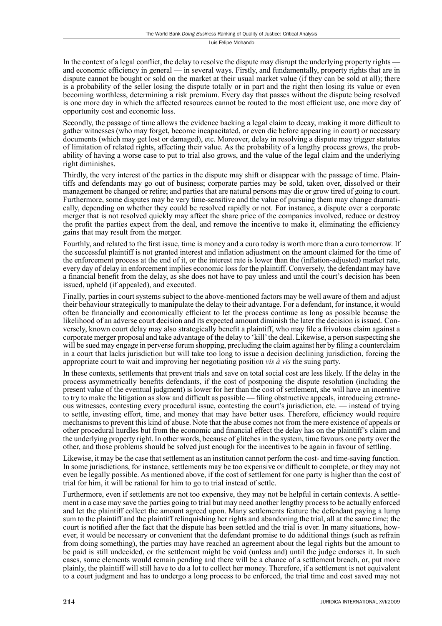In the context of a legal conflict, the delay to resolve the dispute may disrupt the underlying property rights and economic efficiency in general — in several ways. Firstly, and fundamentally, property rights that are in dispute cannot be bought or sold on the market at their usual market value (if they can be sold at all); there is a probability of the seller losing the dispute totally or in part and the right then losing its value or even becoming worthless, determining a risk premium. Every day that passes without the dispute being resolved is one more day in which the affected resources cannot be routed to the most efficient use, one more day of opportunity cost and economic loss.

Secondly, the passage of time allows the evidence backing a legal claim to decay, making it more difficult to gather witnesses (who may forget, become incapacitated, or even die before appearing in court) or necessary documents (which may get lost or damaged), etc. Moreover, delay in resolving a dispute may trigger statutes of limitation of related rights, affecting their value. As the probability of a lengthy process grows, the probability of having a worse case to put to trial also grows, and the value of the legal claim and the underlying right diminishes.

Thirdly, the very interest of the parties in the dispute may shift or disappear with the passage of time. Plaintiffs and defendants may go out of business; corporate parties may be sold, taken over, dissolved or their management be changed or retire; and parties that are natural persons may die or grow tired of going to court. Furthermore, some disputes may be very time-sensitive and the value of pursuing them may change dramatically, depending on whether they could be resolved rapidly or not. For instance, a dispute over a corporate merger that is not resolved quickly may affect the share price of the companies involved, reduce or destroy the profit the parties expect from the deal, and remove the incentive to make it, eliminating the efficiency gains that may result from the merger.

Fourthly, and related to the first issue, time is money and a euro today is worth more than a euro tomorrow. If the successful plaintiff is not granted interest and inflation adjustment on the amount claimed for the time of the enforcement process at the end of it, or the interest rate is lower than the (infl ation-adjusted) market rate, every day of delay in enforcement implies economic loss for the plaintiff. Conversely, the defendant may have a financial benefit from the delay, as she does not have to pay unless and until the court's decision has been issued, upheld (if appealed), and executed.

Finally, parties in court systems subject to the above-mentioned factors may be well aware of them and adjust their behaviour strategically to manipulate the delay to their advantage. For a defendant, for instance, it would often be financially and economically efficient to let the process continue as long as possible because the likelihood of an adverse court decision and its expected amount diminish the later the decision is issued. Conversely, known court delay may also strategically benefit a plaintiff, who may file a frivolous claim against a corporate merger proposal and take advantage of the delay to 'kill' the deal. Likewise, a person suspecting she will be sued may engage in perverse forum shopping, precluding the claim against her by filing a counterclaim in a court that lacks jurisdiction but will take too long to issue a decision declining jurisdiction, forcing the appropriate court to wait and improving her negotiating position *vis à vis* the suing party.

In these contexts, settlements that prevent trials and save on total social cost are less likely. If the delay in the process asymmetrically benefits defendants, if the cost of postponing the dispute resolution (including the present value of the eventual judgment) is lower for her than the cost of settlement, she will have an incentive to try to make the litigation as slow and difficult as possible — filing obstructive appeals, introducing extraneous witnesses, contesting every procedural issue, contesting the court's jurisdiction, etc. — instead of trying to settle, investing effort, time, and money that may have better uses. Therefore, efficiency would require mechanisms to prevent this kind of abuse. Note that the abuse comes not from the mere existence of appeals or other procedural hurdles but from the economic and financial effect the delay has on the plaintiff's claim and the underlying property right. In other words, because of glitches in the system, time favours one party over the other, and those problems should be solved just enough for the incentives to be again in favour of settling.

Likewise, it may be the case that settlement as an institution cannot perform the cost- and time-saving function. In some jurisdictions, for instance, settlements may be too expensive or difficult to complete, or they may not even be legally possible. As mentioned above, if the cost of settlement for one party is higher than the cost of trial for him, it will be rational for him to go to trial instead of settle.

Furthermore, even if settlements are not too expensive, they may not be helpful in certain contexts. A settlement in a case may save the parties going to trial but may need another lengthy process to be actually enforced and let the plaintiff collect the amount agreed upon. Many settlements feature the defendant paying a lump sum to the plaintiff and the plaintiff relinquishing her rights and abandoning the trial, all at the same time; the court is notified after the fact that the dispute has been settled and the trial is over. In many situations, however, it would be necessary or convenient that the defendant promise to do additional things (such as refrain from doing something), the parties may have reached an agreement about the legal rights but the amount to be paid is still undecided, or the settlement might be void (unless and) until the judge endorses it. In such cases, some elements would remain pending and there will be a chance of a settlement breach, or, put more plainly, the plaintiff will still have to do a lot to collect her money. Therefore, if a settlement is not equivalent to a court judgment and has to undergo a long process to be enforced, the trial time and cost saved may not